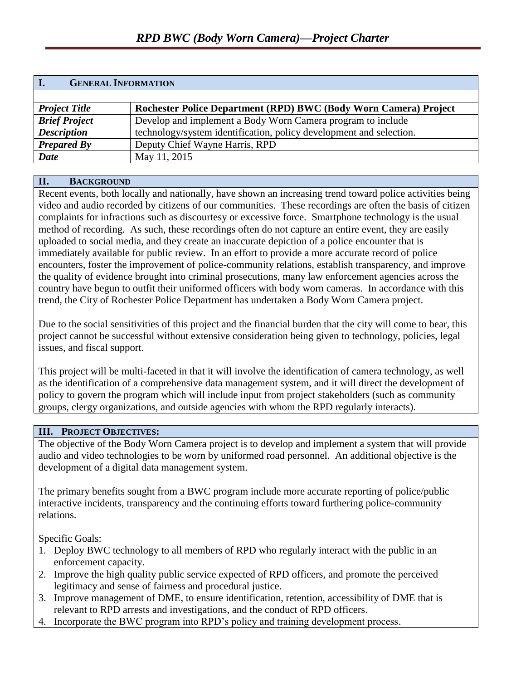| <b>GENERAL INFORMATION</b> |                                                                     |  |
|----------------------------|---------------------------------------------------------------------|--|
|                            |                                                                     |  |
| <b>Project Title</b>       | Rochester Police Department (RPD) BWC (Body Worn Camera) Project    |  |
| <b>Brief Project</b>       | Develop and implement a Body Worn Camera program to include         |  |
| <b>Description</b>         | technology/system identification, policy development and selection. |  |
| <b>Prepared By</b>         | Deputy Chief Wayne Harris, RPD                                      |  |
| <b>Date</b>                | May 11, 2015                                                        |  |

## **II. BACKGROUND**

Recent events, both locally and nationally, have shown an increasing trend toward police activities being video and audio recorded by citizens of our communities. These recordings are often the basis of citizen complaints for infractions such as discourtesy or excessive force. Smartphone technology is the usual method of recording. As such, these recordings often do not capture an entire event, they are easily uploaded to social media, and they create an inaccurate depiction of a police encounter that is immediately available for public review. In an effort to provide a more accurate record of police encounters, foster the improvement of police-community relations, establish transparency, and improve the quality of evidence brought into criminal prosecutions, many law enforcement agencies across the country have begun to outfit their uniformed officers with body worn cameras. In accordance with this trend, the City of Rochester Police Department has undertaken a Body Worn Camera project.

Due to the social sensitivities of this project and the financial burden that the city will come to bear, this project cannot be successful without extensive consideration being given to technology, policies, legal issues, and fiscal support.

This project will be multi-faceted in that it will involve the identification of camera technology, as well as the identification of a comprehensive data management system, and it will direct the development of policy to govern the program which will include input from project stakeholders (such as community groups, clergy organizations, and outside agencies with whom the RPD regularly interacts).

#### **III. PROJECT OBJECTIVES:**

The objective of the Body Worn Camera project is to develop and implement a system that will provide audio and video technologies to be worn by uniformed road personnel. An additional objective is the development of a digital data management system.

The primary benefits sought from a BWC program include more accurate reporting of police/public interactive incidents, transparency and the continuing efforts toward furthering police-community relations.

Specific Goals:

- 1. Deploy BWC technology to all members of RPD who regularly interact with the public in an enforcement capacity.
- 2. Improve the high quality public service expected of RPD officers, and promote the perceived legitimacy and sense of fairness and procedural justice.
- 3. Improve management of DME, to ensure identification, retention, accessibility of DME that is relevant to RPD arrests and investigations, and the conduct of RPD officers.
- 4. Incorporate the BWC program into RPD's policy and training development process.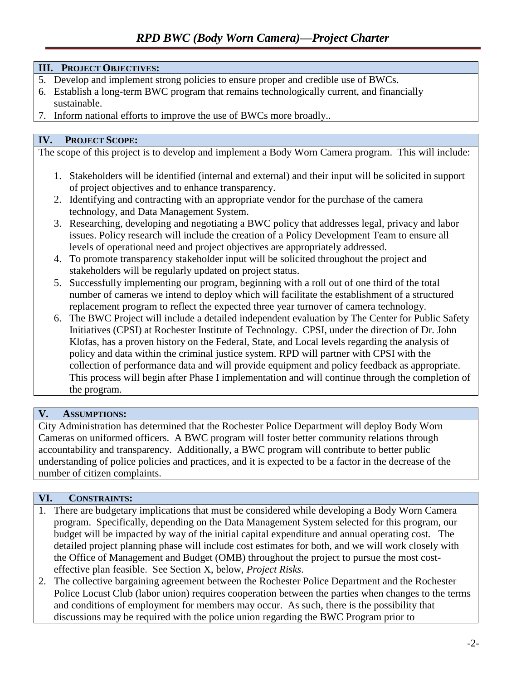#### **III. PROJECT OBJECTIVES:**

- 5. Develop and implement strong policies to ensure proper and credible use of BWCs.
- 6. Establish a long-term BWC program that remains technologically current, and financially sustainable.
- 7. Inform national efforts to improve the use of BWCs more broadly..

### **IV. PROJECT SCOPE:**

The scope of this project is to develop and implement a Body Worn Camera program. This will include:

- 1. Stakeholders will be identified (internal and external) and their input will be solicited in support of project objectives and to enhance transparency.
- 2. Identifying and contracting with an appropriate vendor for the purchase of the camera technology, and Data Management System.
- 3. Researching, developing and negotiating a BWC policy that addresses legal, privacy and labor issues. Policy research will include the creation of a Policy Development Team to ensure all levels of operational need and project objectives are appropriately addressed.
- 4. To promote transparency stakeholder input will be solicited throughout the project and stakeholders will be regularly updated on project status.
- 5. Successfully implementing our program, beginning with a roll out of one third of the total number of cameras we intend to deploy which will facilitate the establishment of a structured replacement program to reflect the expected three year turnover of camera technology.
- 6. The BWC Project will include a detailed independent evaluation by The Center for Public Safety Initiatives (CPSI) at Rochester Institute of Technology. CPSI, under the direction of Dr. John Klofas, has a proven history on the Federal, State, and Local levels regarding the analysis of policy and data within the criminal justice system. RPD will partner with CPSI with the collection of performance data and will provide equipment and policy feedback as appropriate. This process will begin after Phase I implementation and will continue through the completion of the program.

#### **V. ASSUMPTIONS:**

City Administration has determined that the Rochester Police Department will deploy Body Worn Cameras on uniformed officers. A BWC program will foster better community relations through accountability and transparency. Additionally, a BWC program will contribute to better public understanding of police policies and practices, and it is expected to be a factor in the decrease of the number of citizen complaints.

## **VI. CONSTRAINTS:**

- 1. There are budgetary implications that must be considered while developing a Body Worn Camera program. Specifically, depending on the Data Management System selected for this program, our budget will be impacted by way of the initial capital expenditure and annual operating cost. The detailed project planning phase will include cost estimates for both, and we will work closely with the Office of Management and Budget (OMB) throughout the project to pursue the most costeffective plan feasible. See Section X, below, *Project Risks*.
- 2. The collective bargaining agreement between the Rochester Police Department and the Rochester Police Locust Club (labor union) requires cooperation between the parties when changes to the terms and conditions of employment for members may occur. As such, there is the possibility that discussions may be required with the police union regarding the BWC Program prior to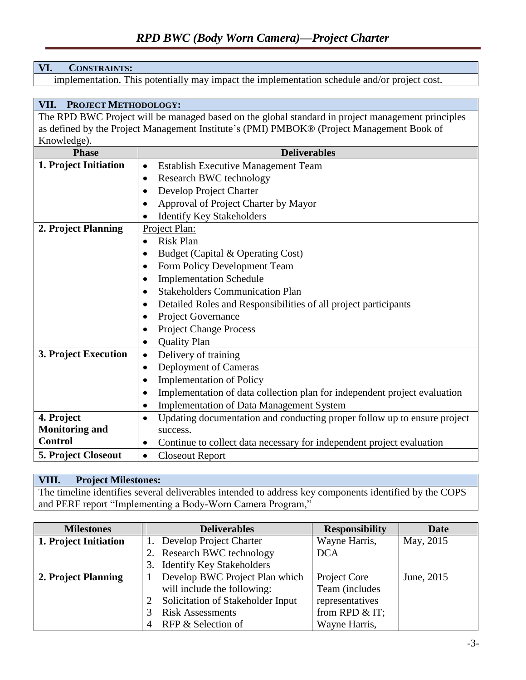### **VI. CONSTRAINTS:**

implementation. This potentially may impact the implementation schedule and/or project cost.

## **VII. PROJECT METHODOLOGY:**

The RPD BWC Project will be managed based on the global standard in project management principles as defined by the Project Management Institute's (PMI) PMBOK® (Project Management Book of Knowledge).

| <b>Phase</b>          | <b>Deliverables</b>                                                                   |  |  |
|-----------------------|---------------------------------------------------------------------------------------|--|--|
| 1. Project Initiation | <b>Establish Executive Management Team</b><br>٠                                       |  |  |
|                       | Research BWC technology<br>$\bullet$                                                  |  |  |
|                       | Develop Project Charter<br>$\bullet$                                                  |  |  |
|                       | Approval of Project Charter by Mayor                                                  |  |  |
|                       | <b>Identify Key Stakeholders</b>                                                      |  |  |
| 2. Project Planning   | Project Plan:                                                                         |  |  |
|                       | <b>Risk Plan</b><br>$\bullet$                                                         |  |  |
|                       | Budget (Capital & Operating Cost)                                                     |  |  |
|                       | Form Policy Development Team<br>$\bullet$                                             |  |  |
|                       | <b>Implementation Schedule</b><br>$\bullet$                                           |  |  |
|                       | <b>Stakeholders Communication Plan</b><br>$\bullet$                                   |  |  |
|                       | Detailed Roles and Responsibilities of all project participants<br>$\bullet$          |  |  |
|                       | Project Governance<br>$\bullet$                                                       |  |  |
|                       | <b>Project Change Process</b><br>$\bullet$                                            |  |  |
|                       | <b>Quality Plan</b><br>٠                                                              |  |  |
| 3. Project Execution  | Delivery of training<br>$\bullet$                                                     |  |  |
|                       | Deployment of Cameras<br>$\bullet$                                                    |  |  |
|                       | <b>Implementation of Policy</b><br>$\bullet$                                          |  |  |
|                       | Implementation of data collection plan for independent project evaluation             |  |  |
|                       | <b>Implementation of Data Management System</b>                                       |  |  |
| 4. Project            | Updating documentation and conducting proper follow up to ensure project<br>$\bullet$ |  |  |
| <b>Monitoring and</b> | success.                                                                              |  |  |
| <b>Control</b>        | Continue to collect data necessary for independent project evaluation<br>$\bullet$    |  |  |
| 5. Project Closeout   | <b>Closeout Report</b><br>$\bullet$                                                   |  |  |

#### **VIII. Project Milestones:**

The timeline identifies several deliverables intended to address key components identified by the COPS and PERF report "Implementing a Body-Worn Camera Program,"

| <b>Milestones</b>     |    | <b>Deliverables</b>               | <b>Responsibility</b> | <b>Date</b> |
|-----------------------|----|-----------------------------------|-----------------------|-------------|
| 1. Project Initiation |    | 1. Develop Project Charter        | Wayne Harris,         | May, 2015   |
|                       |    | 2. Research BWC technology        | <b>DCA</b>            |             |
|                       | 3. | <b>Identify Key Stakeholders</b>  |                       |             |
| 2. Project Planning   |    | Develop BWC Project Plan which    | Project Core          | June, 2015  |
|                       |    | will include the following:       | Team (includes        |             |
|                       |    | Solicitation of Stakeholder Input | representatives       |             |
|                       |    | <b>Risk Assessments</b>           | from RPD $&$ IT;      |             |
|                       |    | RFP & Selection of                | Wayne Harris,         |             |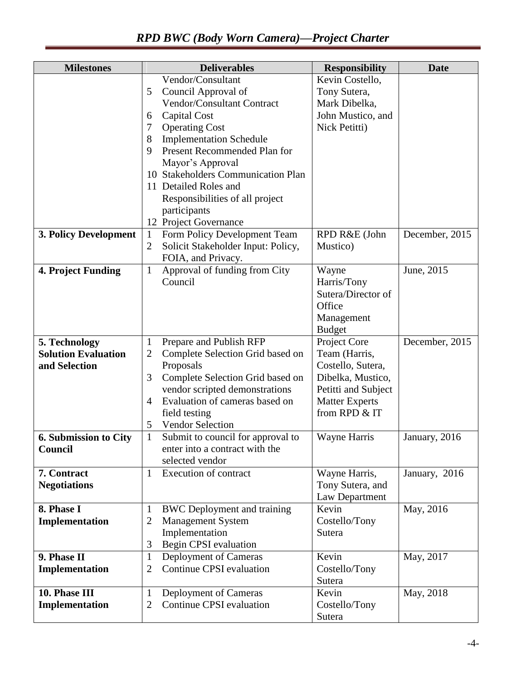| <b>Milestones</b>            | <b>Deliverables</b>                                      | <b>Responsibility</b>   | <b>Date</b>    |
|------------------------------|----------------------------------------------------------|-------------------------|----------------|
|                              | Vendor/Consultant                                        | Kevin Costello,         |                |
|                              | Council Approval of<br>5                                 | Tony Sutera,            |                |
|                              | Vendor/Consultant Contract                               | Mark Dibelka,           |                |
|                              | Capital Cost<br>6                                        | John Mustico, and       |                |
|                              | <b>Operating Cost</b><br>7                               | Nick Petitti)           |                |
|                              | <b>Implementation Schedule</b><br>8                      |                         |                |
|                              | Present Recommended Plan for<br>9                        |                         |                |
|                              | Mayor's Approval                                         |                         |                |
|                              | 10 Stakeholders Communication Plan                       |                         |                |
|                              | 11 Detailed Roles and                                    |                         |                |
|                              | Responsibilities of all project                          |                         |                |
|                              | participants                                             |                         |                |
|                              | 12 Project Governance                                    |                         |                |
| 3. Policy Development        | Form Policy Development Team<br>$\mathbf{1}$             | RPD R&E (John           | December, 2015 |
|                              | Solicit Stakeholder Input: Policy,<br>2                  | Mustico)                |                |
|                              | FOIA, and Privacy.                                       |                         | June, 2015     |
| 4. Project Funding           | Approval of funding from City<br>$\mathbf{1}$<br>Council | Wayne<br>Harris/Tony    |                |
|                              |                                                          | Sutera/Director of      |                |
|                              |                                                          | Office                  |                |
|                              |                                                          | Management              |                |
|                              |                                                          | <b>Budget</b>           |                |
| 5. Technology                | Prepare and Publish RFP<br>$\mathbf{1}$                  | Project Core            | December, 2015 |
| <b>Solution Evaluation</b>   | Complete Selection Grid based on<br>$\overline{2}$       | Team (Harris,           |                |
| and Selection                | Proposals                                                | Costello, Sutera,       |                |
|                              | 3<br>Complete Selection Grid based on                    | Dibelka, Mustico,       |                |
|                              | vendor scripted demonstrations                           | Petitti and Subject     |                |
|                              | Evaluation of cameras based on<br>4                      | <b>Matter Experts</b>   |                |
|                              | field testing                                            | from RPD & IT           |                |
|                              | <b>Vendor Selection</b><br>5                             |                         |                |
| <b>6. Submission to City</b> | $\mathbf{1}$<br>Submit to council for approval to        | Wayne Harris            | January, 2016  |
| Council                      | enter into a contract with the                           |                         |                |
|                              | selected vendor                                          |                         |                |
| 7. Contract                  | <b>Execution of contract</b><br>1                        | Wayne Harris,           | January, 2016  |
| <b>Negotiations</b>          |                                                          | Tony Sutera, and        |                |
| 8. Phase I                   | <b>BWC</b> Deployment and training<br>1                  | Law Department<br>Kevin | May, 2016      |
| Implementation               | <b>Management System</b><br>2                            | Costello/Tony           |                |
|                              | Implementation                                           | Sutera                  |                |
|                              | Begin CPSI evaluation<br>3                               |                         |                |
| 9. Phase II                  | Deployment of Cameras<br>$\mathbf{1}$                    | Kevin                   | May, 2017      |
| Implementation               | Continue CPSI evaluation<br>2                            | Costello/Tony           |                |
|                              |                                                          | Sutera                  |                |
| 10. Phase III                | Deployment of Cameras<br>$\mathbf{1}$                    | Kevin                   | May, 2018      |
| Implementation               | Continue CPSI evaluation<br>2                            | Costello/Tony           |                |
|                              |                                                          | Sutera                  |                |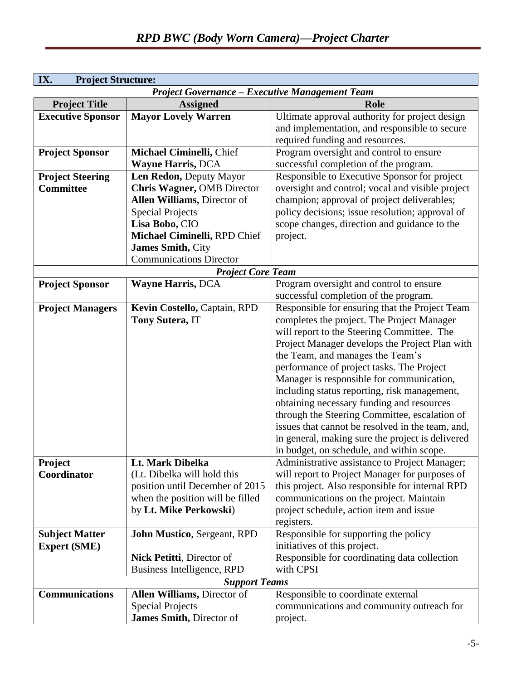| IX.                      | <b>Project Structure:</b>                             |                                                  |  |  |
|--------------------------|-------------------------------------------------------|--------------------------------------------------|--|--|
|                          | <b>Project Governance - Executive Management Team</b> |                                                  |  |  |
| <b>Project Title</b>     | <b>Assigned</b>                                       | Role                                             |  |  |
| <b>Executive Sponsor</b> | <b>Mayor Lovely Warren</b>                            | Ultimate approval authority for project design   |  |  |
|                          |                                                       | and implementation, and responsible to secure    |  |  |
|                          |                                                       | required funding and resources.                  |  |  |
| <b>Project Sponsor</b>   | Michael Ciminelli, Chief                              | Program oversight and control to ensure          |  |  |
|                          | <b>Wayne Harris, DCA</b>                              | successful completion of the program.            |  |  |
| <b>Project Steering</b>  | Len Redon, Deputy Mayor                               | Responsible to Executive Sponsor for project     |  |  |
| <b>Committee</b>         | Chris Wagner, OMB Director                            | oversight and control; vocal and visible project |  |  |
|                          | Allen Williams, Director of                           | champion; approval of project deliverables;      |  |  |
|                          | <b>Special Projects</b>                               | policy decisions; issue resolution; approval of  |  |  |
|                          | Lisa Bobo, CIO                                        | scope changes, direction and guidance to the     |  |  |
|                          | Michael Ciminelli, RPD Chief                          | project.                                         |  |  |
|                          | James Smith, City                                     |                                                  |  |  |
|                          | <b>Communications Director</b>                        |                                                  |  |  |
|                          | <b>Project Core Team</b>                              |                                                  |  |  |
| <b>Project Sponsor</b>   | <b>Wayne Harris, DCA</b>                              | Program oversight and control to ensure          |  |  |
|                          |                                                       | successful completion of the program.            |  |  |
| <b>Project Managers</b>  | Kevin Costello, Captain, RPD                          | Responsible for ensuring that the Project Team   |  |  |
|                          | Tony Sutera, IT                                       | completes the project. The Project Manager       |  |  |
|                          |                                                       | will report to the Steering Committee. The       |  |  |
|                          |                                                       | Project Manager develops the Project Plan with   |  |  |
|                          |                                                       | the Team, and manages the Team's                 |  |  |
|                          |                                                       | performance of project tasks. The Project        |  |  |
|                          |                                                       | Manager is responsible for communication,        |  |  |
|                          |                                                       | including status reporting, risk management,     |  |  |
|                          |                                                       | obtaining necessary funding and resources        |  |  |
|                          |                                                       | through the Steering Committee, escalation of    |  |  |
|                          |                                                       | issues that cannot be resolved in the team, and, |  |  |
|                          |                                                       | in general, making sure the project is delivered |  |  |
|                          |                                                       | in budget, on schedule, and within scope.        |  |  |
| Project                  | Lt. Mark Dibelka                                      | Administrative assistance to Project Manager;    |  |  |
| Coordinator              | (Lt. Dibelka will hold this                           | will report to Project Manager for purposes of   |  |  |
|                          | position until December of 2015                       | this project. Also responsible for internal RPD  |  |  |
|                          | when the position will be filled                      | communications on the project. Maintain          |  |  |
|                          | by Lt. Mike Perkowski)                                | project schedule, action item and issue          |  |  |
|                          |                                                       | registers.                                       |  |  |
| <b>Subject Matter</b>    | <b>John Mustico, Sergeant, RPD</b>                    | Responsible for supporting the policy            |  |  |
| <b>Expert (SME)</b>      |                                                       | initiatives of this project.                     |  |  |
|                          | Nick Petitti, Director of                             | Responsible for coordinating data collection     |  |  |
|                          | Business Intelligence, RPD                            | with CPSI                                        |  |  |
|                          | <b>Support Teams</b>                                  |                                                  |  |  |
| <b>Communications</b>    | Allen Williams, Director of                           | Responsible to coordinate external               |  |  |
|                          | <b>Special Projects</b>                               | communications and community outreach for        |  |  |
|                          | James Smith, Director of                              | project.                                         |  |  |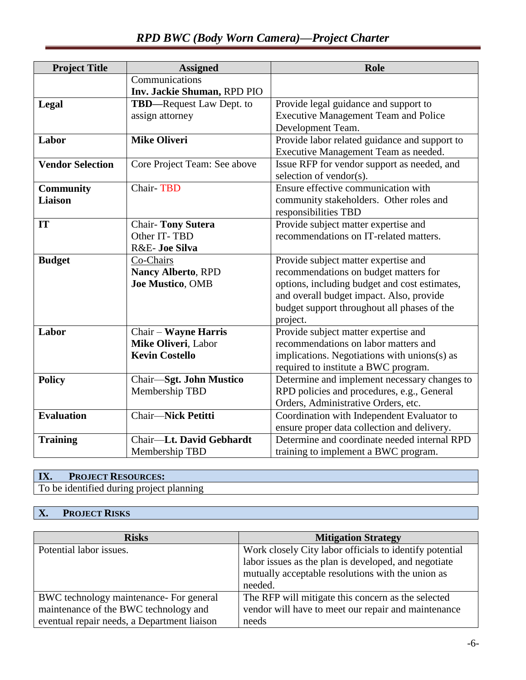# *RPD BWC (Body Worn Camera)—Project Charter*

| <b>Project Title</b>    | <b>Assigned</b>                  | <b>Role</b>                                   |
|-------------------------|----------------------------------|-----------------------------------------------|
|                         | Communications                   |                                               |
|                         | Inv. Jackie Shuman, RPD PIO      |                                               |
| Legal                   | <b>TBD</b> —Request Law Dept. to | Provide legal guidance and support to         |
|                         | assign attorney                  | <b>Executive Management Team and Police</b>   |
|                         |                                  | Development Team.                             |
| Labor                   | <b>Mike Oliveri</b>              | Provide labor related guidance and support to |
|                         |                                  | Executive Management Team as needed.          |
| <b>Vendor Selection</b> | Core Project Team: See above     | Issue RFP for vendor support as needed, and   |
|                         |                                  | selection of vendor(s).                       |
| <b>Community</b>        | <b>Chair-TBD</b>                 | Ensure effective communication with           |
| <b>Liaison</b>          |                                  | community stakeholders. Other roles and       |
|                         |                                  | responsibilities TBD                          |
| IT                      | <b>Chair-Tony Sutera</b>         | Provide subject matter expertise and          |
|                         | Other IT-TBD                     | recommendations on IT-related matters.        |
|                         | R&E- Joe Silva                   |                                               |
| <b>Budget</b>           | Co-Chairs                        | Provide subject matter expertise and          |
|                         | <b>Nancy Alberto, RPD</b>        | recommendations on budget matters for         |
|                         | Joe Mustico, OMB                 | options, including budget and cost estimates, |
|                         |                                  | and overall budget impact. Also, provide      |
|                         |                                  | budget support throughout all phases of the   |
|                         |                                  | project.                                      |
| Labor                   | <b>Chair - Wayne Harris</b>      | Provide subject matter expertise and          |
|                         | Mike Oliveri, Labor              | recommendations on labor matters and          |
|                         | <b>Kevin Costello</b>            | implications. Negotiations with unions(s) as  |
|                         |                                  | required to institute a BWC program.          |
| <b>Policy</b>           | Chair-Sgt. John Mustico          | Determine and implement necessary changes to  |
|                         | Membership TBD                   | RPD policies and procedures, e.g., General    |
|                         |                                  | Orders, Administrative Orders, etc.           |
| <b>Evaluation</b>       | <b>Chair-Nick Petitti</b>        | Coordination with Independent Evaluator to    |
|                         |                                  | ensure proper data collection and delivery.   |
| <b>Training</b>         | Chair-Lt. David Gebhardt         | Determine and coordinate needed internal RPD  |
|                         | Membership TBD                   | training to implement a BWC program.          |

## **IX. PROJECT RESOURCES:**

To be identified during project planning

# **X. PROJECT RISKS**

| <b>Risks</b>                                | <b>Mitigation Strategy</b>                              |
|---------------------------------------------|---------------------------------------------------------|
| Potential labor issues.                     | Work closely City labor officials to identify potential |
|                                             | labor issues as the plan is developed, and negotiate    |
|                                             | mutually acceptable resolutions with the union as       |
|                                             | needed.                                                 |
| BWC technology maintenance- For general     | The RFP will mitigate this concern as the selected      |
| maintenance of the BWC technology and       | vendor will have to meet our repair and maintenance     |
| eventual repair needs, a Department liaison | needs                                                   |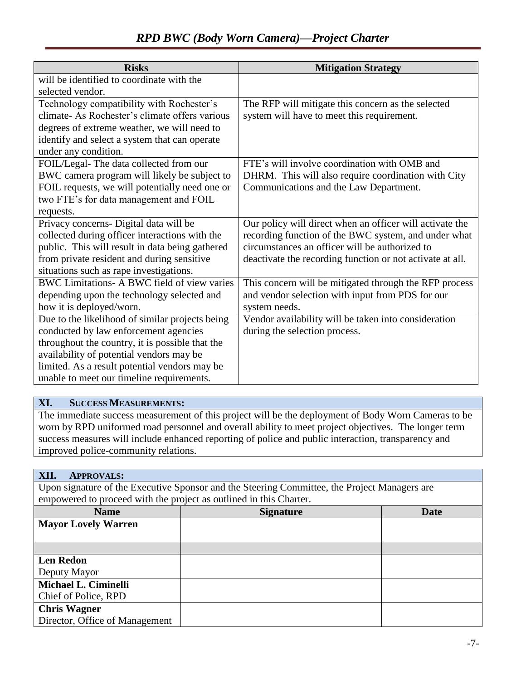## *RPD BWC (Body Worn Camera)—Project Charter*

| <b>Risks</b>                                    | <b>Mitigation Strategy</b>                                |
|-------------------------------------------------|-----------------------------------------------------------|
| will be identified to coordinate with the       |                                                           |
| selected vendor.                                |                                                           |
| Technology compatibility with Rochester's       | The RFP will mitigate this concern as the selected        |
| climate- As Rochester's climate offers various  | system will have to meet this requirement.                |
| degrees of extreme weather, we will need to     |                                                           |
| identify and select a system that can operate   |                                                           |
| under any condition.                            |                                                           |
| FOIL/Legal-The data collected from our          | FTE's will involve coordination with OMB and              |
| BWC camera program will likely be subject to    | DHRM. This will also require coordination with City       |
| FOIL requests, we will potentially need one or  | Communications and the Law Department.                    |
| two FTE's for data management and FOIL          |                                                           |
| requests.                                       |                                                           |
| Privacy concerns- Digital data will be          | Our policy will direct when an officer will activate the  |
| collected during officer interactions with the  | recording function of the BWC system, and under what      |
| public. This will result in data being gathered | circumstances an officer will be authorized to            |
| from private resident and during sensitive      | deactivate the recording function or not activate at all. |
| situations such as rape investigations.         |                                                           |
| BWC Limitations- A BWC field of view varies     | This concern will be mitigated through the RFP process    |
| depending upon the technology selected and      | and vendor selection with input from PDS for our          |
| how it is deployed/worn.                        | system needs.                                             |
| Due to the likelihood of similar projects being | Vendor availability will be taken into consideration      |
| conducted by law enforcement agencies           | during the selection process.                             |
| throughout the country, it is possible that the |                                                           |
| availability of potential vendors may be        |                                                           |
| limited. As a result potential vendors may be   |                                                           |
| unable to meet our timeline requirements.       |                                                           |

## **XI. SUCCESS MEASUREMENTS:**

The immediate success measurement of this project will be the deployment of Body Worn Cameras to be worn by RPD uniformed road personnel and overall ability to meet project objectives. The longer term success measures will include enhanced reporting of police and public interaction, transparency and improved police-community relations.

#### **XII. APPROVALS:**

Upon signature of the Executive Sponsor and the Steering Committee, the Project Managers are empowered to proceed with the project as outlined in this Charter.

| <b>Name</b>                    | <b>Signature</b> | <b>Date</b> |
|--------------------------------|------------------|-------------|
| <b>Mayor Lovely Warren</b>     |                  |             |
|                                |                  |             |
|                                |                  |             |
| <b>Len Redon</b>               |                  |             |
| Deputy Mayor                   |                  |             |
| Michael L. Ciminelli           |                  |             |
| Chief of Police, RPD           |                  |             |
| <b>Chris Wagner</b>            |                  |             |
| Director, Office of Management |                  |             |